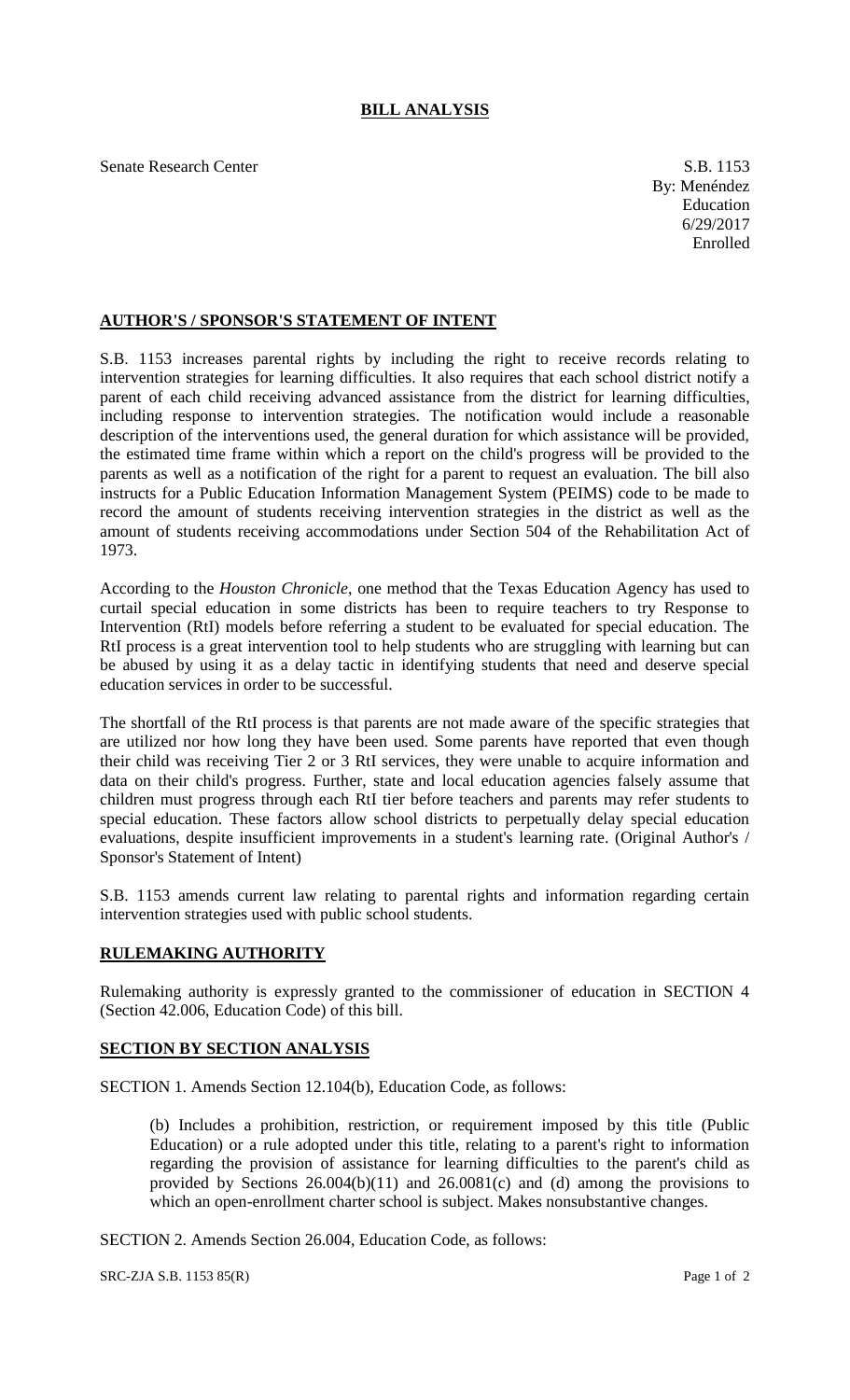## **BILL ANALYSIS**

Senate Research Center S.B. 1153

## **AUTHOR'S / SPONSOR'S STATEMENT OF INTENT**

S.B. 1153 increases parental rights by including the right to receive records relating to intervention strategies for learning difficulties. It also requires that each school district notify a parent of each child receiving advanced assistance from the district for learning difficulties, including response to intervention strategies. The notification would include a reasonable description of the interventions used, the general duration for which assistance will be provided, the estimated time frame within which a report on the child's progress will be provided to the parents as well as a notification of the right for a parent to request an evaluation. The bill also instructs for a Public Education Information Management System (PEIMS) code to be made to record the amount of students receiving intervention strategies in the district as well as the amount of students receiving accommodations under Section 504 of the Rehabilitation Act of 1973.

According to the *Houston Chronicle*, one method that the Texas Education Agency has used to curtail special education in some districts has been to require teachers to try Response to Intervention (RtI) models before referring a student to be evaluated for special education. The RtI process is a great intervention tool to help students who are struggling with learning but can be abused by using it as a delay tactic in identifying students that need and deserve special education services in order to be successful.

The shortfall of the RtI process is that parents are not made aware of the specific strategies that are utilized nor how long they have been used. Some parents have reported that even though their child was receiving Tier 2 or 3 RtI services, they were unable to acquire information and data on their child's progress. Further, state and local education agencies falsely assume that children must progress through each RtI tier before teachers and parents may refer students to special education. These factors allow school districts to perpetually delay special education evaluations, despite insufficient improvements in a student's learning rate. (Original Author's / Sponsor's Statement of Intent)

S.B. 1153 amends current law relating to parental rights and information regarding certain intervention strategies used with public school students.

## **RULEMAKING AUTHORITY**

Rulemaking authority is expressly granted to the commissioner of education in SECTION 4 (Section 42.006, Education Code) of this bill.

## **SECTION BY SECTION ANALYSIS**

SECTION 1. Amends Section 12.104(b), Education Code, as follows:

(b) Includes a prohibition, restriction, or requirement imposed by this title (Public Education) or a rule adopted under this title, relating to a parent's right to information regarding the provision of assistance for learning difficulties to the parent's child as provided by Sections 26.004(b)(11) and 26.0081(c) and (d) among the provisions to which an open-enrollment charter school is subject. Makes nonsubstantive changes.

SECTION 2. Amends Section 26.004, Education Code, as follows:

 $SRC-ZJA S.B. 1153 85(R)$  Page 1 of 2